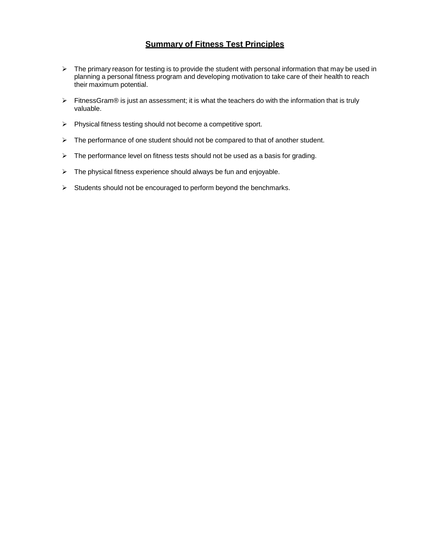# **Summary of Fitness Test Principles**

- $\triangleright$  The primary reason for testing is to provide the student with personal information that may be used in planning a personal fitness program and developing motivation to take care of their health to reach their maximum potential.
- FitnessGram® is just an assessment; it is what the teachers do with the information that is truly valuable.
- $\triangleright$  Physical fitness testing should not become a competitive sport.
- $\triangleright$  The performance of one student should not be compared to that of another student.
- $\triangleright$  The performance level on fitness tests should not be used as a basis for grading.
- $\triangleright$  The physical fitness experience should always be fun and enjoyable.
- $\triangleright$  Students should not be encouraged to perform beyond the benchmarks.